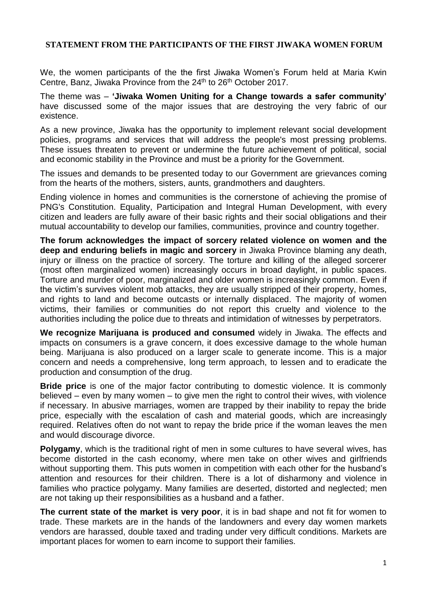### **STATEMENT FROM THE PARTICIPANTS OF THE FIRST JIWAKA WOMEN FORUM**

We, the women participants of the the first Jiwaka Women's Forum held at Maria Kwin Centre, Banz, Jiwaka Province from the 24<sup>th</sup> to 26<sup>th</sup> October 2017.

The theme was – **'Jiwaka Women Uniting for a Change towards a safer community'** have discussed some of the major issues that are destroying the very fabric of our existence.

As a new province, Jiwaka has the opportunity to implement relevant social development policies, programs and services that will address the people's most pressing problems. These issues threaten to prevent or undermine the future achievement of political, social and economic stability in the Province and must be a priority for the Government.

The issues and demands to be presented today to our Government are grievances coming from the hearts of the mothers, sisters, aunts, grandmothers and daughters.

Ending violence in homes and communities is the cornerstone of achieving the promise of PNG's Constitution. Equality, Participation and Integral Human Development, with every citizen and leaders are fully aware of their basic rights and their social obligations and their mutual accountability to develop our families, communities, province and country together.

**The forum acknowledges the impact of sorcery related violence on women and the deep and enduring beliefs in magic and sorcery** in Jiwaka Province blaming any death, injury or illness on the practice of sorcery. The torture and killing of the alleged sorcerer (most often marginalized women) increasingly occurs in broad daylight, in public spaces. Torture and murder of poor, marginalized and older women is increasingly common. Even if the victim's survives violent mob attacks, they are usually stripped of their property, homes, and rights to land and become outcasts or internally displaced. The majority of women victims, their families or communities do not report this cruelty and violence to the authorities including the police due to threats and intimidation of witnesses by perpetrators.

**We recognize Marijuana is produced and consumed** widely in Jiwaka. The effects and impacts on consumers is a grave concern, it does excessive damage to the whole human being. Marijuana is also produced on a larger scale to generate income. This is a major concern and needs a comprehensive, long term approach, to lessen and to eradicate the production and consumption of the drug.

**Bride price** is one of the major factor contributing to domestic violence. It is commonly believed – even by many women – to give men the right to control their wives, with violence if necessary. In abusive marriages, women are trapped by their inability to repay the bride price, especially with the escalation of cash and material goods, which are increasingly required. Relatives often do not want to repay the bride price if the woman leaves the men and would discourage divorce.

**Polygamy**, which is the traditional right of men in some cultures to have several wives, has become distorted in the cash economy, where men take on other wives and girlfriends without supporting them. This puts women in competition with each other for the husband's attention and resources for their children. There is a lot of disharmony and violence in families who practice polygamy. Many families are deserted, distorted and neglected; men are not taking up their responsibilities as a husband and a father.

**The current state of the market is very poor**, it is in bad shape and not fit for women to trade. These markets are in the hands of the landowners and every day women markets vendors are harassed, double taxed and trading under very difficult conditions. Markets are important places for women to earn income to support their families.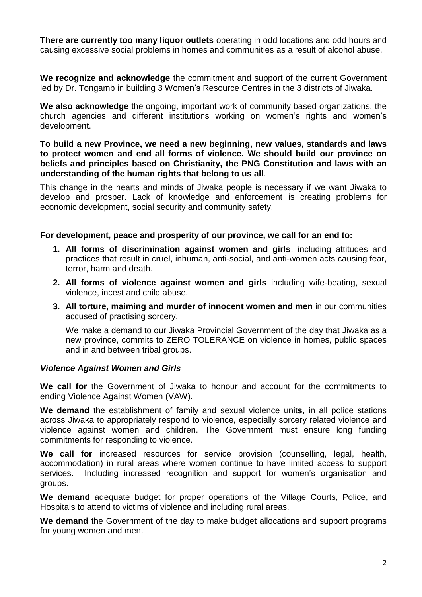**There are currently too many liquor outlets** operating in odd locations and odd hours and causing excessive social problems in homes and communities as a result of alcohol abuse.

**We recognize and acknowledge** the commitment and support of the current Government led by Dr. Tongamb in building 3 Women's Resource Centres in the 3 districts of Jiwaka.

**We also acknowledge** the ongoing, important work of community based organizations, the church agencies and different institutions working on women's rights and women's development.

**To build a new Province, we need a new beginning, new values, standards and laws to protect women and end all forms of violence. We should build our province on beliefs and principles based on Christianity, the PNG Constitution and laws with an understanding of the human rights that belong to us all**.

This change in the hearts and minds of Jiwaka people is necessary if we want Jiwaka to develop and prosper. Lack of knowledge and enforcement is creating problems for economic development, social security and community safety.

#### **For development, peace and prosperity of our province, we call for an end to:**

- **1. All forms of discrimination against women and girls**, including attitudes and practices that result in cruel, inhuman, anti-social, and anti-women acts causing fear, terror, harm and death.
- **2. All forms of violence against women and girls** including wife-beating, sexual violence, incest and child abuse.
- **3. All torture, maiming and murder of innocent women and men** in our communities accused of practising sorcery.

We make a demand to our Jiwaka Provincial Government of the day that Jiwaka as a new province, commits to ZERO TOLERANCE on violence in homes, public spaces and in and between tribal groups.

#### *Violence Against Women and Girls*

**We call for** the Government of Jiwaka to honour and account for the commitments to ending Violence Against Women (VAW).

**We demand** the establishment of family and sexual violence unit**s**, in all police stations across Jiwaka to appropriately respond to violence, especially sorcery related violence and violence against women and children. The Government must ensure long funding commitments for responding to violence.

**We call for** increased resources for service provision (counselling, legal, health, accommodation) in rural areas where women continue to have limited access to support services. Including increased recognition and support for women's organisation and groups.

**We demand** adequate budget for proper operations of the Village Courts, Police, and Hospitals to attend to victims of violence and including rural areas.

**We demand** the Government of the day to make budget allocations and support programs for young women and men.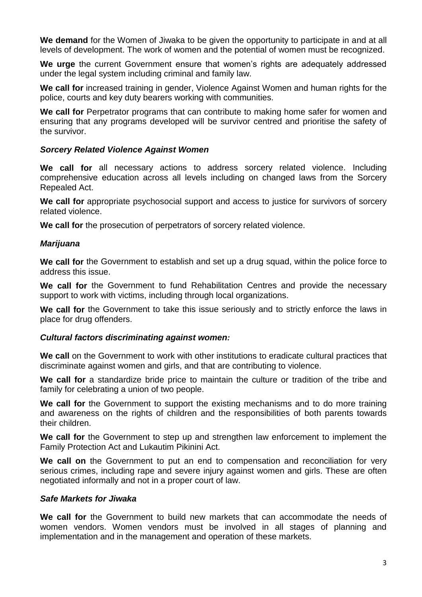**We demand** for the Women of Jiwaka to be given the opportunity to participate in and at all levels of development. The work of women and the potential of women must be recognized.

**We urge** the current Government ensure that women's rights are adequately addressed under the legal system including criminal and family law.

**We call for** increased training in gender, Violence Against Women and human rights for the police, courts and key duty bearers working with communities.

We call for Perpetrator programs that can contribute to making home safer for women and ensuring that any programs developed will be survivor centred and prioritise the safety of the survivor.

### *Sorcery Related Violence Against Women*

**We call for** all necessary actions to address sorcery related violence. Including comprehensive education across all levels including on changed laws from the Sorcery Repealed Act.

**We call for** appropriate psychosocial support and access to justice for survivors of sorcery related violence.

**We call for** the prosecution of perpetrators of sorcery related violence.

## *Marijuana*

**We call for** the Government to establish and set up a drug squad, within the police force to address this issue.

**We call for** the Government to fund Rehabilitation Centres and provide the necessary support to work with victims, including through local organizations.

**We call for** the Government to take this issue seriously and to strictly enforce the laws in place for drug offenders.

#### *Cultural factors discriminating against women:*

**We call** on the Government to work with other institutions to eradicate cultural practices that discriminate against women and girls, and that are contributing to violence.

**We call for** a standardize bride price to maintain the culture or tradition of the tribe and family for celebrating a union of two people.

**We call for** the Government to support the existing mechanisms and to do more training and awareness on the rights of children and the responsibilities of both parents towards their children.

**We call for** the Government to step up and strengthen law enforcement to implement the Family Protection Act and Lukautim Pikinini Act.

**We call on** the Government to put an end to compensation and reconciliation for very serious crimes, including rape and severe injury against women and girls. These are often negotiated informally and not in a proper court of law.

#### *Safe Markets for Jiwaka*

**We call for** the Government to build new markets that can accommodate the needs of women vendors. Women vendors must be involved in all stages of planning and implementation and in the management and operation of these markets.